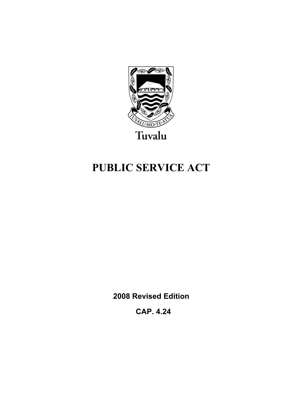

# **PUBLIC SERVICE ACT**

**2008 Revised Edition** 

 **CAP. 4.24**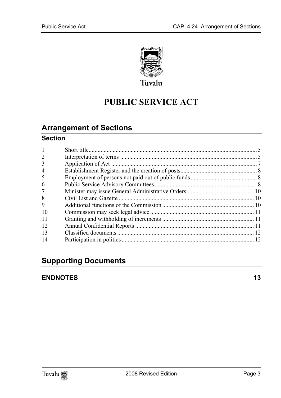

# **PUBLIC SERVICE ACT**

## **Arrange[ment of Sections](#page-6-0)**

### **Section**

| 2  |  |
|----|--|
| 3  |  |
| 4  |  |
| 5  |  |
| 6  |  |
| 7  |  |
| 8  |  |
| 9  |  |
| 10 |  |
| 11 |  |
| 12 |  |
| 13 |  |
| 14 |  |

## **Supporting Documents**

### **ENDNOTES** 13

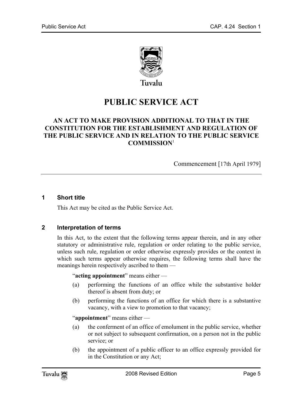

# **PUBLIC SERVICE ACT**

#### **AN ACT TO MAKE PROVISION ADDITIONAL TO THAT IN THE CONSTITUTION FOR THE ESTABLISHMENT AND REGULATION OF THE PUBLIC SERVICE AND IN RELATION TO THE PUBLIC SERVICE COMMISSION**<sup>1</sup>

Commencement [17th April 1979]

#### **1 Short title**

<span id="page-4-0"></span>This Act may be cited as the Public Service Act.

#### **2 Interpretation of terms**

In this Act, to the extent that the following terms appear therein, and in any other statutory or administrative rule, regulation or order relating to the public service, unless such rule, regulation or order otherwise expressly provides or the context in which such terms appear otherwise requires, the following terms shall have the meanings herein respectively ascribed to them —

"**acting appointment**" means either —

- (a) performing the functions of an office while the substantive holder thereof is absent from duty; or
- (b) performing the functions of an office for which there is a substantive vacancy, with a view to promotion to that vacancy;

"**appointment**" means either —

- (a) the conferment of an office of emolument in the public service, whether or not subject to subsequent confirmation, on a person not in the public service; or
- (b) the appointment of a public officer to an office expressly provided for in the Constitution or any Act;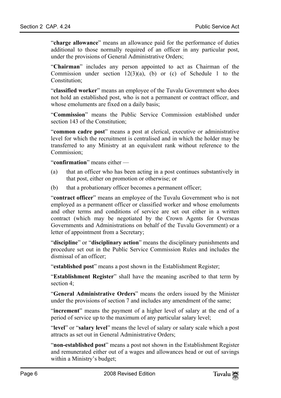"**charge allowance**" means an allowance paid for the performance of duties additional to those normally required of an officer in any particular post, under the provisions of General Administrative Orders;

"**Chairman**" includes any person appointed to act as Chairman of the Commission under section  $12(3)(a)$ , (b) or (c) of Schedule 1 to the Constitution:

"**classified worker**" means an employee of the Tuvalu Government who does not hold an established post, who is not a permanent or contract officer, and whose emoluments are fixed on a daily basis;

"**Commission**" means the Public Service Commission established under section 143 of the Constitution;

"**common cadre post**" means a post at clerical, executive or administrative level for which the recruitment is centralised and in which the holder may be transferred to any Ministry at an equivalent rank without reference to the Commission;

"**confirmation**" means either —

- (a) that an officer who has been acting in a post continues substantively in that post, either on promotion or otherwise; or
- (b) that a probationary officer becomes a permanent officer;

"**contract officer**" means an employee of the Tuvalu Government who is not employed as a permanent officer or classified worker and whose emoluments and other terms and conditions of service are set out either in a written contract (which may be negotiated by the Crown Agents for Overseas Governments and Administrations on behalf of the Tuvalu Government) or a letter of appointment from a Secretary;

"**discipline**" or "**disciplinary action**" means the disciplinary punishments and procedure set out in the Public Service Commission Rules and includes the dismissal of an officer;

"**established post**" means a post shown in the Establishment Register;

"**Establishment Register**" shall have the meaning ascribed to that term by section 4;

"**General Administrative Orders**" means the orders issued by the Minister under the provisions of section 7 and includes any amendment of the same;

"**increment**" means the payment of a higher level of salary at the end of a period of service up to the maximum of any particular salary level;

"**level**" or "**salary level**" means the level of salary or salary scale which a post attracts as set out in General Administrative Orders;

"**non-established post**" means a post not shown in the Establishment Register and remunerated either out of a wages and allowances head or out of savings within a Ministry's budget;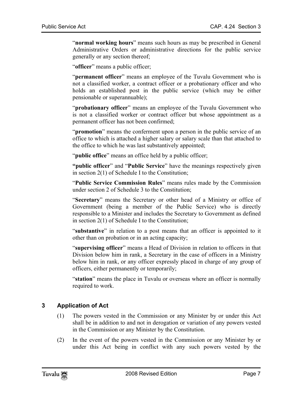"**normal working hours**" means such hours as may be prescribed in General Administrative Orders or administrative directions for the public service generally or any section thereof;

"**officer**" means a public officer;

"**permanent officer**" means an employee of the Tuvalu Government who is not a classified worker, a contract officer or a probationary officer and who holds an established post in the public service (which may be either pensionable or superannuable);

"**probationary officer**" means an employee of the Tuvalu Government who is not a classified worker or contract officer but whose appointment as a permanent officer has not been confirmed;

"**promotion**" means the conferment upon a person in the public service of an office to which is attached a higher salary or salary scale than that attached to the office to which he was last substantively appointed;

"**public office**" means an office held by a public officer;

**"public officer**" and "**Public Service**" have the meanings respectively given in section 2(1) of Schedule I to the Constitution;

"**Public Service Commission Rules**" means rules made by the Commission under section 2 of Schedule 3 to the Constitution;

"**Secretary**" means the Secretary or other head of a Ministry or office of Government (being a member of the Public Service) who is directly responsible to a Minister and includes the Secretary to Government as defined in section 2(1) of Schedule I to the Constitution;

"**substantive**" in relation to a post means that an officer is appointed to it other than on probation or in an acting capacity;

"**supervising officer**" means a Head of Division in relation to officers in that Division below him in rank, a Secretary in the case of officers in a Ministry below him in rank, or any officer expressly placed in charge of any group of officers, either permanently or temporarily;

<span id="page-6-0"></span>"**station**" means the place in Tuvalu or overseas where an officer is normally required to work.

#### **3 Application of Act**

- (1) The powers vested in the Commission or any Minister by or under this Act shall be in addition to and not in derogation or variation of any powers vested in the Commission or any Minister by the Constitution.
- (2) In the event of the powers vested in the Commission or any Minister by or under this Act being in conflict with any such powers vested by the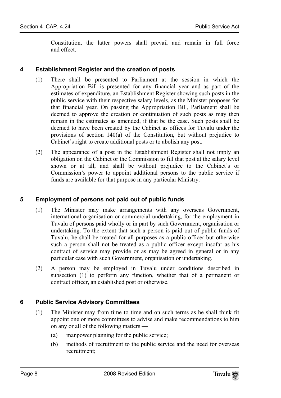Constitution, the latter powers shall prevail and remain in full force and effect.

#### **4 Establishment Register and the creation of posts**

- (1) There shall be presented to Parliament at the session in which the Appropriation Bill is presented for any financial year and as part of the estimates of expenditure, an Establishment Register showing such posts in the public service with their respective salary levels, as the Minister proposes for that financial year. On passing the Appropriation Bill, Parliament shall be deemed to approve the creation or continuation of such posts as may then remain in the estimates as amended, if that be the case. Such posts shall be deemed to have been created by the Cabinet as offices for Tuvalu under the provisions of section 140(a) of the Constitution, but without prejudice to Cabinet's right to create additional posts or to abolish any post.
- (2) The appearance of a post in the Establishment Register shall not imply an obligation on the Cabinet or the Commission to fill that post at the salary level shown or at all, and shall be without prejudice to the Cabinet's or Commission's power to appoint additional persons to the public service if funds are available for that purpose in any particular Ministry.

#### **5 Employment of persons not paid out of public funds**

- (1) The Minister may make arrangements with any overseas Government, international organisation or commercial undertaking, for the employment in Tuvalu of persons paid wholly or in part by such Government, organisation or undertaking. To the extent that such a person is paid out of public funds of Tuvalu, he shall be treated for all purposes as a public officer but otherwise such a person shall not be treated as a public officer except insofar as his contract of service may provide or as may be agreed in general or in any particular case with such Government, organisation or undertaking.
- <span id="page-7-0"></span>(2) A person may be employed in Tuvalu under conditions described in subsection (1) to perform any function, whether that of a permanent or contract officer, an established post or otherwise.

#### **6 Public Service Advisory Committees**

- (1) The Minister may from time to time and on such terms as he shall think fit appoint one or more committees to advise and make recommendations to him on any or all of the following matters —
	- (a) manpower planning for the public service;
	- (b) methods of recruitment to the public service and the need for overseas recruitment;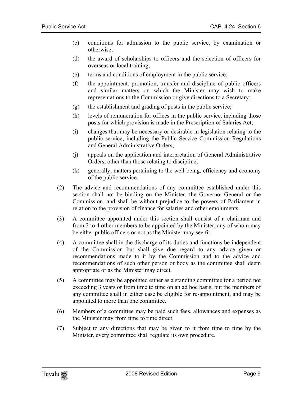- (c) conditions for admission to the public service, by examination or otherwise;
- (d) the award of scholarships to officers and the selection of officers for overseas or local training;
- (e) terms and conditions of employment in the public service;
- (f) the appointment, promotion, transfer and discipline of public officers and similar matters on which the Minister may wish to make representations to the Commission or give directions to a Secretary;
- (g) the establishment and grading of posts in the public service;
- (h) levels of remuneration for offices in the public service, including those posts for which provision is made in the Prescription of Salaries Act;
- (i) changes that may be necessary or desirable in legislation relating to the public service, including the Public Service Commission Regulations and General Administrative Orders;
- (j) appeals on the application and interpretation of General Administrative Orders, other than those relating to discipline;
- (k) generally, matters pertaining to the well-being, efficiency and economy of the public service.
- (2) The advice and recommendations of any committee established under this section shall not be binding on the Minister, the Governor-General or the Commission, and shall be without prejudice to the powers of Parliament in relation to the provision of finance for salaries and other emoluments.
- (3) A committee appointed under this section shall consist of a chairman and from 2 to 4 other members to be appointed by the Minister, any of whom may be either public officers or not as the Minister may see fit.
- (4) A committee shall in the discharge of its duties and functions be independent of the Commission but shall give due regard to any advice given or recommendations made to it by the Commission and to the advice and recommendations of such other person or body as the committee shall deem appropriate or as the Minister may direct.
- (5) A committee may be appointed either as a standing committee for a period not exceeding 3 years or from time to time on an ad hoc basis, but the members of any committee shall in either case be eligible for re-appointment, and may be appointed to more than one committee.
- (6) Members of a committee may be paid such fees, allowances and expenses as the Minister may from time to time direct.
- (7) Subject to any directions that may be given to it from time to time by the Minister, every committee shall regulate its own procedure.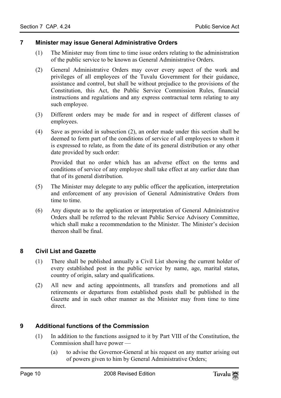#### **7 Minister may issue General Administrative Orders**

- <span id="page-9-0"></span>(1) The Minister may from time to time issue orders relating to the administration of the public service to be known as General Administrative Orders.
- (2) General Administrative Orders may cover every aspect of the work and privileges of all employees of the Tuvalu Government for their guidance, assistance and control, but shall be without prejudice to the provisions of the Constitution, this Act, the Public Service Commission Rules, financial instructions and regulations and any express contractual term relating to any such employee.
- (3) Different orders may be made for and in respect of different classes of employees.
- (4) Save as provided in subsection (2), an order made under this section shall be deemed to form part of the conditions of service of all employees to whom it is expressed to relate, as from the date of its general distribution or any other date provided by such order:

Provided that no order which has an adverse effect on the terms and conditions of service of any employee shall take effect at any earlier date than that of its general distribution.

- (5) The Minister may delegate to any public officer the application, interpretation and enforcement of any provision of General Administrative Orders from time to time.
- <span id="page-9-1"></span>(6) Any dispute as to the application or interpretation of General Administrative Orders shall be referred to the relevant Public Service Advisory Committee, which shall make a recommendation to the Minister. The Minister's decision thereon shall be final.

#### **8 Civil List and Gazette**

- (1) There shall be published annually a Civil List showing the current holder of every established post in the public service by name, age, marital status, country of origin, salary and qualifications.
- <span id="page-9-2"></span>(2) All new and acting appointments, all transfers and promotions and all retirements or departures from established posts shall be published in the Gazette and in such other manner as the Minister may from time to time direct.

#### **9 Additional functions of the Commission**

- (1) In addition to the functions assigned to it by Part VIII of the Constitution, the Commission shall have power —
	- (a) to advise the Governor-General at his request on any matter arising out of powers given to him by General Administrative Orders;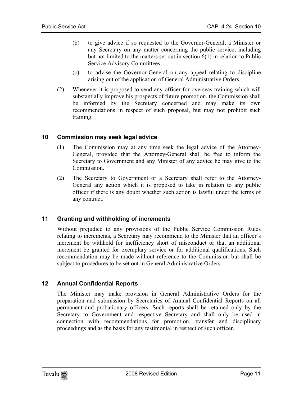- (b) to give advice if so requested to the Governor-General, a Minister or any Secretary on any matter concerning the public service, including but not limited to the matters set out in section 6(1) in relation to Public Service Advisory Committees;
- (c) to advise the Governor-General on any appeal relating to discipline arising out of the application of General Administrative Orders.
- <span id="page-10-0"></span>(2) Whenever it is proposed to send any officer for overseas training which will substantially improve his prospects of future promotion, the Commission shall be informed by the Secretary concerned and may make its own recommendations in respect of such proposal, but may not prohibit such training.

#### **10 Commission may seek legal advice**

- (1) The Commission may at any time seek the legal advice of the Attorney-General, provided that the Attorney-General shall be free to inform the Secretary to Government and any Minister of any advice he may give to the Commission.
- <span id="page-10-1"></span>(2) The Secretary to Government or a Secretary shall refer to the Attorney-General any action which it is proposed to take in relation to any public officer if there is any doubt whether such action is lawful under the terms of any contract.

#### **11 Granting and withholding of increments**

<span id="page-10-2"></span>Without prejudice to any provisions of the Public Service Commission Rules relating to increments, a Secretary may recommend to the Minister that an officer's increment be withheld for inefficiency short of misconduct or that an additional increment be granted for exemplary service or for additional qualifications. Such recommendation may be made without reference to the Commission but shall be subject to procedures to be set out in General Administrative Orders.

#### **12 Annual Confidential Reports**

The Minister may make provision in General Administrative Orders for the preparation and submission by Secretaries of Annual Confidential Reports on all permanent and probationary officers. Such reports shall be retained only by the Secretary to Government and respective Secretary and shall only be used in connection with recommendations for promotion, transfer and disciplinary proceedings and as the basis for any testimonial in respect of such officer.

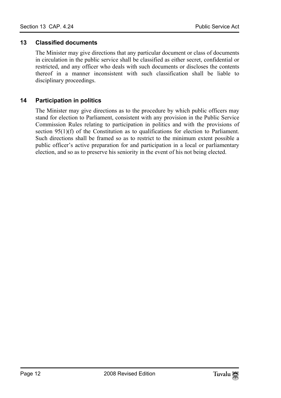#### <span id="page-11-0"></span>**13 Classified documents**

<span id="page-11-1"></span>The Minister may give directions that any particular document or class of documents in circulation in the public service shall be classified as either secret, confidential or restricted, and any officer who deals with such documents or discloses the contents thereof in a manner inconsistent with such classification shall be liable to disciplinary proceedings.

#### **14 Participation in politics**

The Minister may give directions as to the procedure by which public officers may stand for election to Parliament, consistent with any provision in the Public Service Commission Rules relating to participation in politics and with the provisions of section 95(1)(f) of the Constitution as to qualifications for election to Parliament. Such directions shall be framed so as to restrict to the minimum extent possible a public officer's active preparation for and participation in a local or parliamentary election, and so as to preserve his seniority in the event of his not being elected.